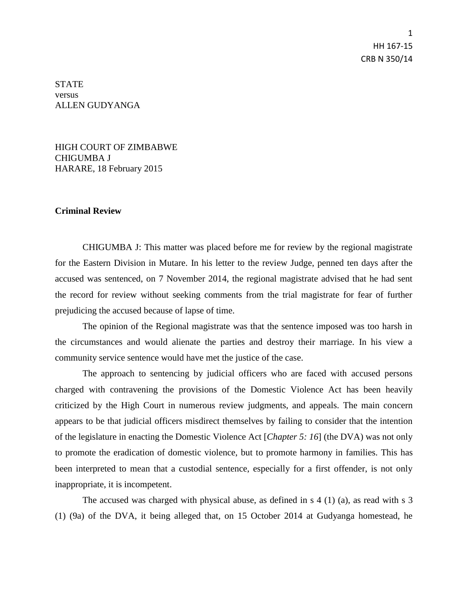1 HH 167-15 CRB N 350/14

**STATE** versus ALLEN GUDYANGA

HIGH COURT OF ZIMBABWE CHIGUMBA J HARARE, 18 February 2015

## **Criminal Review**

CHIGUMBA J: This matter was placed before me for review by the regional magistrate for the Eastern Division in Mutare. In his letter to the review Judge, penned ten days after the accused was sentenced, on 7 November 2014, the regional magistrate advised that he had sent the record for review without seeking comments from the trial magistrate for fear of further prejudicing the accused because of lapse of time.

The opinion of the Regional magistrate was that the sentence imposed was too harsh in the circumstances and would alienate the parties and destroy their marriage. In his view a community service sentence would have met the justice of the case.

The approach to sentencing by judicial officers who are faced with accused persons charged with contravening the provisions of the Domestic Violence Act has been heavily criticized by the High Court in numerous review judgments, and appeals. The main concern appears to be that judicial officers misdirect themselves by failing to consider that the intention of the legislature in enacting the Domestic Violence Act [*Chapter 5: 16*] (the DVA) was not only to promote the eradication of domestic violence, but to promote harmony in families. This has been interpreted to mean that a custodial sentence, especially for a first offender, is not only inappropriate, it is incompetent.

The accused was charged with physical abuse, as defined in s 4 (1) (a), as read with s 3 (1) (9a) of the DVA, it being alleged that, on 15 October 2014 at Gudyanga homestead, he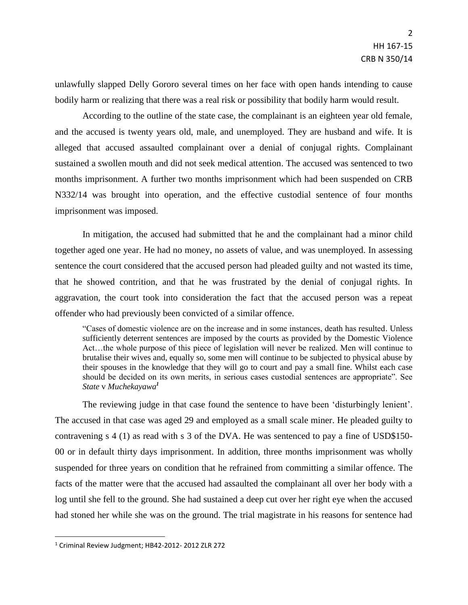unlawfully slapped Delly Gororo several times on her face with open hands intending to cause bodily harm or realizing that there was a real risk or possibility that bodily harm would result.

According to the outline of the state case, the complainant is an eighteen year old female, and the accused is twenty years old, male, and unemployed. They are husband and wife. It is alleged that accused assaulted complainant over a denial of conjugal rights. Complainant sustained a swollen mouth and did not seek medical attention. The accused was sentenced to two months imprisonment. A further two months imprisonment which had been suspended on CRB N332/14 was brought into operation, and the effective custodial sentence of four months imprisonment was imposed.

In mitigation, the accused had submitted that he and the complainant had a minor child together aged one year. He had no money, no assets of value, and was unemployed. In assessing sentence the court considered that the accused person had pleaded guilty and not wasted its time, that he showed contrition, and that he was frustrated by the denial of conjugal rights. In aggravation, the court took into consideration the fact that the accused person was a repeat offender who had previously been convicted of a similar offence.

"Cases of domestic violence are on the increase and in some instances, death has resulted. Unless sufficiently deterrent sentences are imposed by the courts as provided by the Domestic Violence Act…the whole purpose of this piece of legislation will never be realized. Men will continue to brutalise their wives and, equally so, some men will continue to be subjected to physical abuse by their spouses in the knowledge that they will go to court and pay a small fine. Whilst each case should be decided on its own merits, in serious cases custodial sentences are appropriate". See *State* v *Muchekayawa<sup>1</sup>*

The reviewing judge in that case found the sentence to have been 'disturbingly lenient'. The accused in that case was aged 29 and employed as a small scale miner. He pleaded guilty to contravening s 4 (1) as read with s 3 of the DVA. He was sentenced to pay a fine of USD\$150- 00 or in default thirty days imprisonment. In addition, three months imprisonment was wholly suspended for three years on condition that he refrained from committing a similar offence. The facts of the matter were that the accused had assaulted the complainant all over her body with a log until she fell to the ground. She had sustained a deep cut over her right eye when the accused had stoned her while she was on the ground. The trial magistrate in his reasons for sentence had

 $\overline{\phantom{a}}$ 

<sup>1</sup> Criminal Review Judgment; HB42-2012- 2012 ZLR 272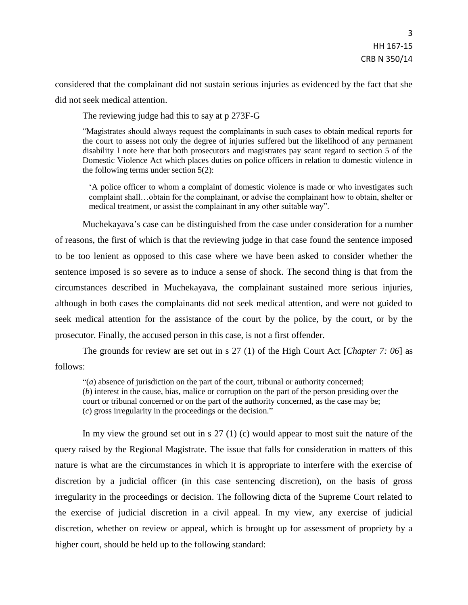considered that the complainant did not sustain serious injuries as evidenced by the fact that she did not seek medical attention.

The reviewing judge had this to say at p 273F-G

"Magistrates should always request the complainants in such cases to obtain medical reports for the court to assess not only the degree of injuries suffered but the likelihood of any permanent disability I note here that both prosecutors and magistrates pay scant regard to section 5 of the Domestic Violence Act which places duties on police officers in relation to domestic violence in the following terms under section 5(2):

'A police officer to whom a complaint of domestic violence is made or who investigates such complaint shall…obtain for the complainant, or advise the complainant how to obtain, shelter or medical treatment, or assist the complainant in any other suitable way".

Muchekayava's case can be distinguished from the case under consideration for a number of reasons, the first of which is that the reviewing judge in that case found the sentence imposed to be too lenient as opposed to this case where we have been asked to consider whether the sentence imposed is so severe as to induce a sense of shock. The second thing is that from the circumstances described in Muchekayava, the complainant sustained more serious injuries, although in both cases the complainants did not seek medical attention, and were not guided to seek medical attention for the assistance of the court by the police, by the court, or by the prosecutor. Finally, the accused person in this case, is not a first offender.

The grounds for review are set out in s 27 (1) of the High Court Act [*Chapter 7: 06*] as follows:

"(*a*) absence of jurisdiction on the part of the court, tribunal or authority concerned; (*b*) interest in the cause, bias, malice or corruption on the part of the person presiding over the court or tribunal concerned or on the part of the authority concerned, as the case may be; (*c*) gross irregularity in the proceedings or the decision."

In my view the ground set out in s 27 (1) (c) would appear to most suit the nature of the query raised by the Regional Magistrate. The issue that falls for consideration in matters of this nature is what are the circumstances in which it is appropriate to interfere with the exercise of discretion by a judicial officer (in this case sentencing discretion), on the basis of gross irregularity in the proceedings or decision. The following dicta of the Supreme Court related to the exercise of judicial discretion in a civil appeal. In my view, any exercise of judicial discretion, whether on review or appeal, which is brought up for assessment of propriety by a higher court, should be held up to the following standard: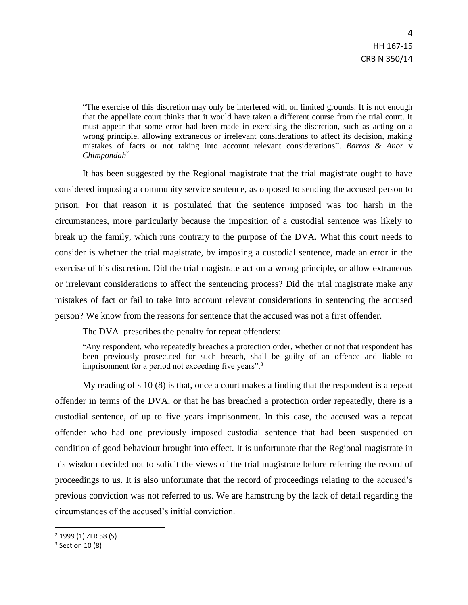"The exercise of this discretion may only be interfered with on limited grounds. It is not enough that the appellate court thinks that it would have taken a different course from the trial court. It must appear that some error had been made in exercising the discretion, such as acting on a wrong principle, allowing extraneous or irrelevant considerations to affect its decision, making mistakes of facts or not taking into account relevant considerations". *Barros & Anor* v *Chimpondah<sup>2</sup>*

It has been suggested by the Regional magistrate that the trial magistrate ought to have considered imposing a community service sentence, as opposed to sending the accused person to prison. For that reason it is postulated that the sentence imposed was too harsh in the circumstances, more particularly because the imposition of a custodial sentence was likely to break up the family, which runs contrary to the purpose of the DVA. What this court needs to consider is whether the trial magistrate, by imposing a custodial sentence, made an error in the exercise of his discretion. Did the trial magistrate act on a wrong principle, or allow extraneous or irrelevant considerations to affect the sentencing process? Did the trial magistrate make any mistakes of fact or fail to take into account relevant considerations in sentencing the accused person? We know from the reasons for sentence that the accused was not a first offender.

The DVA prescribes the penalty for repeat offenders:

"Any respondent, who repeatedly breaches a protection order, whether or not that respondent has been previously prosecuted for such breach, shall be guilty of an offence and liable to imprisonment for a period not exceeding five years".<sup>3</sup>

My reading of s 10 (8) is that, once a court makes a finding that the respondent is a repeat offender in terms of the DVA, or that he has breached a protection order repeatedly, there is a custodial sentence, of up to five years imprisonment. In this case, the accused was a repeat offender who had one previously imposed custodial sentence that had been suspended on condition of good behaviour brought into effect. It is unfortunate that the Regional magistrate in his wisdom decided not to solicit the views of the trial magistrate before referring the record of proceedings to us. It is also unfortunate that the record of proceedings relating to the accused's previous conviction was not referred to us. We are hamstrung by the lack of detail regarding the circumstances of the accused's initial conviction.

l

<sup>2</sup> 1999 (1) ZLR 58 (S)

<sup>3</sup> Section 10 (8)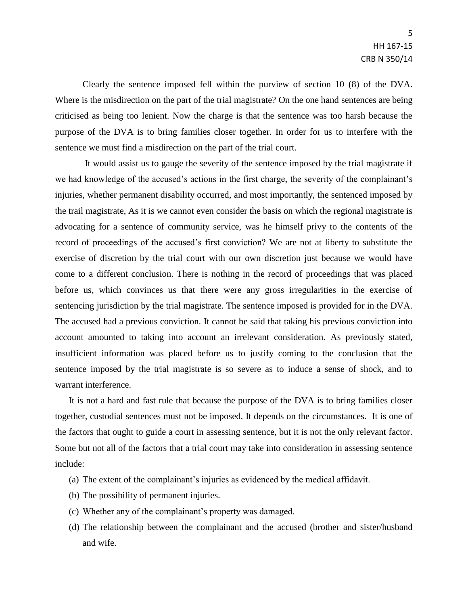Clearly the sentence imposed fell within the purview of section 10 (8) of the DVA. Where is the misdirection on the part of the trial magistrate? On the one hand sentences are being criticised as being too lenient. Now the charge is that the sentence was too harsh because the purpose of the DVA is to bring families closer together. In order for us to interfere with the sentence we must find a misdirection on the part of the trial court.

It would assist us to gauge the severity of the sentence imposed by the trial magistrate if we had knowledge of the accused's actions in the first charge, the severity of the complainant's injuries, whether permanent disability occurred, and most importantly, the sentenced imposed by the trail magistrate, As it is we cannot even consider the basis on which the regional magistrate is advocating for a sentence of community service, was he himself privy to the contents of the record of proceedings of the accused's first conviction? We are not at liberty to substitute the exercise of discretion by the trial court with our own discretion just because we would have come to a different conclusion. There is nothing in the record of proceedings that was placed before us, which convinces us that there were any gross irregularities in the exercise of sentencing jurisdiction by the trial magistrate. The sentence imposed is provided for in the DVA. The accused had a previous conviction. It cannot be said that taking his previous conviction into account amounted to taking into account an irrelevant consideration. As previously stated, insufficient information was placed before us to justify coming to the conclusion that the sentence imposed by the trial magistrate is so severe as to induce a sense of shock, and to warrant interference.

It is not a hard and fast rule that because the purpose of the DVA is to bring families closer together, custodial sentences must not be imposed. It depends on the circumstances. It is one of the factors that ought to guide a court in assessing sentence, but it is not the only relevant factor. Some but not all of the factors that a trial court may take into consideration in assessing sentence include:

- (a) The extent of the complainant's injuries as evidenced by the medical affidavit.
- (b) The possibility of permanent injuries.
- (c) Whether any of the complainant's property was damaged.
- (d) The relationship between the complainant and the accused (brother and sister/husband and wife.